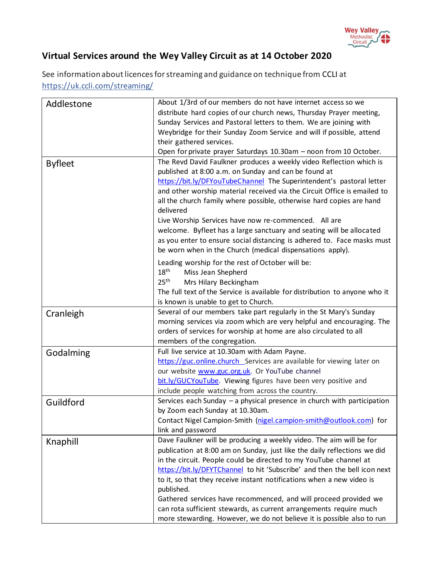

## **Virtual Services around the Wey Valley Circuit as at 14 October 2020**

See information about licences for streaming and guidance on technique from [CCLI](https://artserve.us8.list-manage.com/track/click?u=c2d1d9ca953fdf84333ea4bda&id=f3890112bb&e=05716758b6) at https://uk.ccli.com/streaming/

| Addlestone     | About 1/3rd of our members do not have internet access so we                      |
|----------------|-----------------------------------------------------------------------------------|
|                | distribute hard copies of our church news, Thursday Prayer meeting,               |
|                | Sunday Services and Pastoral letters to them. We are joining with                 |
|                | Weybridge for their Sunday Zoom Service and will if possible, attend              |
|                | their gathered services.                                                          |
|                | Open for private prayer Saturdays 10.30am - noon from 10 October.                 |
| <b>Byfleet</b> | The Revd David Faulkner produces a weekly video Reflection which is               |
|                | published at 8:00 a.m. on Sunday and can be found at                              |
|                | https://bit.ly/DFYouTubeChannel The Superintendent's pastoral letter              |
|                | and other worship material received via the Circuit Office is emailed to          |
|                | all the church family where possible, otherwise hard copies are hand<br>delivered |
|                | Live Worship Services have now re-commenced. All are                              |
|                | welcome. Byfleet has a large sanctuary and seating will be allocated              |
|                | as you enter to ensure social distancing is adhered to. Face masks must           |
|                | be worn when in the Church (medical dispensations apply).                         |
|                | Leading worship for the rest of October will be:                                  |
|                | $18^{\text{th}}$<br>Miss Jean Shepherd                                            |
|                | 25 <sup>th</sup><br>Mrs Hilary Beckingham                                         |
|                | The full text of the Service is available for distribution to anyone who it       |
|                | is known is unable to get to Church.                                              |
| Cranleigh      | Several of our members take part regularly in the St Mary's Sunday                |
|                | morning services via zoom which are very helpful and encouraging. The             |
|                | orders of services for worship at home are also circulated to all                 |
|                | members of the congregation.                                                      |
| Godalming      | Full live service at 10.30am with Adam Payne.                                     |
|                | https://guc.online.church_Services are available for viewing later on             |
|                | our website www.guc.org.uk. Or YouTube channel                                    |
|                | bit.ly/GUCYouTube. Viewing figures have been very positive and                    |
|                | include people watching from across the country.                                  |
| Guildford      | Services each Sunday - a physical presence in church with participation           |
|                | by Zoom each Sunday at 10.30am.                                                   |
|                | Contact Nigel Campion-Smith (nigel.campion-smith@outlook.com) for                 |
|                | link and password                                                                 |
| Knaphill       | Dave Faulkner will be producing a weekly video. The aim will be for               |
|                | publication at 8:00 am on Sunday, just like the daily reflections we did          |
|                | in the circuit. People could be directed to my YouTube channel at                 |
|                | https://bit.ly/DFYTChannel to hit 'Subscribe' and then the bell icon next         |
|                | to it, so that they receive instant notifications when a new video is             |
|                | published.                                                                        |
|                | Gathered services have recommenced, and will proceed provided we                  |
|                | can rota sufficient stewards, as current arrangements require much                |
|                | more stewarding. However, we do not believe it is possible also to run            |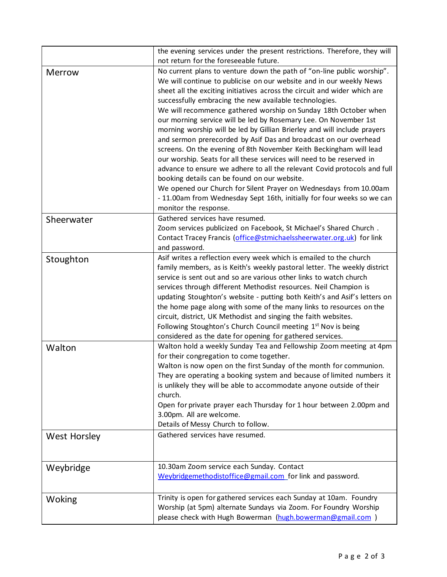|                     | the evening services under the present restrictions. Therefore, they will<br>not return for the foreseeable future.                                                                                                                                                                                                                                                                                                                                                                                                                                                                                                                                                                                                                                                                                                                                                                                                                                                                                                            |
|---------------------|--------------------------------------------------------------------------------------------------------------------------------------------------------------------------------------------------------------------------------------------------------------------------------------------------------------------------------------------------------------------------------------------------------------------------------------------------------------------------------------------------------------------------------------------------------------------------------------------------------------------------------------------------------------------------------------------------------------------------------------------------------------------------------------------------------------------------------------------------------------------------------------------------------------------------------------------------------------------------------------------------------------------------------|
| <b>Merrow</b>       | No current plans to venture down the path of "on-line public worship".<br>We will continue to publicise on our website and in our weekly News<br>sheet all the exciting initiatives across the circuit and wider which are<br>successfully embracing the new available technologies.<br>We will recommence gathered worship on Sunday 18th October when<br>our morning service will be led by Rosemary Lee. On November 1st<br>morning worship will be led by Gillian Brierley and will include prayers<br>and sermon prerecorded by Asif Das and broadcast on our overhead<br>screens. On the evening of 8th November Keith Beckingham will lead<br>our worship. Seats for all these services will need to be reserved in<br>advance to ensure we adhere to all the relevant Covid protocols and full<br>booking details can be found on our website.<br>We opened our Church for Silent Prayer on Wednesdays from 10.00am<br>- 11.00am from Wednesday Sept 16th, initially for four weeks so we can<br>monitor the response. |
| Sheerwater          | Gathered services have resumed.<br>Zoom services publicized on Facebook, St Michael's Shared Church.<br>Contact Tracey Francis (office@stmichaelssheerwater.org.uk) for link<br>and password.                                                                                                                                                                                                                                                                                                                                                                                                                                                                                                                                                                                                                                                                                                                                                                                                                                  |
| Stoughton           | Asif writes a reflection every week which is emailed to the church<br>family members, as is Keith's weekly pastoral letter. The weekly district<br>service is sent out and so are various other links to watch church<br>services through different Methodist resources. Neil Champion is<br>updating Stoughton's website - putting both Keith's and Asif's letters on<br>the home page along with some of the many links to resources on the<br>circuit, district, UK Methodist and singing the faith websites.<br>Following Stoughton's Church Council meeting 1 <sup>st</sup> Nov is being<br>considered as the date for opening for gathered services.                                                                                                                                                                                                                                                                                                                                                                     |
| Walton              | Walton hold a weekly Sunday Tea and Fellowship Zoom meeting at 4pm<br>for their congregation to come together.<br>Walton is now open on the first Sunday of the month for communion.<br>They are operating a booking system and because of limited numbers it<br>is unlikely they will be able to accommodate anyone outside of their<br>church.<br>Open for private prayer each Thursday for 1 hour between 2.00pm and<br>3.00pm. All are welcome.<br>Details of Messy Church to follow.                                                                                                                                                                                                                                                                                                                                                                                                                                                                                                                                      |
| <b>West Horsley</b> | Gathered services have resumed.                                                                                                                                                                                                                                                                                                                                                                                                                                                                                                                                                                                                                                                                                                                                                                                                                                                                                                                                                                                                |
| Weybridge           | 10.30am Zoom service each Sunday. Contact<br>Weybridgemethodistoffice@gmail.com_for link and password.                                                                                                                                                                                                                                                                                                                                                                                                                                                                                                                                                                                                                                                                                                                                                                                                                                                                                                                         |
| Woking              | Trinity is open for gathered services each Sunday at 10am. Foundry<br>Worship (at 5pm) alternate Sundays via Zoom. For Foundry Worship<br>please check with Hugh Bowerman (hugh.bowerman@gmail.com)                                                                                                                                                                                                                                                                                                                                                                                                                                                                                                                                                                                                                                                                                                                                                                                                                            |